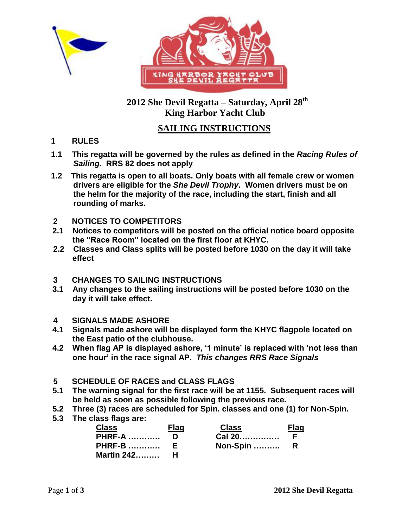



## **2012 She Devil Regatta – Saturday, April 28th King Harbor Yacht Club**

# **SAILING INSTRUCTIONS**

- **1 RULES**
- **1.1 This regatta will be governed by the rules as defined in the** *Racing Rules of Sailing.* **RRS 82 does not apply**
- **1.2 This regatta is open to all boats. Only boats with all female crew or women drivers are eligible for the** *She Devil Trophy***. Women drivers must be on the helm for the majority of the race, including the start, finish and all rounding of marks.**
- **2 NOTICES TO COMPETITORS**
- **2.1 Notices to competitors will be posted on the official notice board opposite the "Race Room" located on the first floor at KHYC.**
- **2.2 Classes and Class splits will be posted before 1030 on the day it will take effect**
- **3 CHANGES TO SAILING INSTRUCTIONS**
- **3.1 Any changes to the sailing instructions will be posted before 1030 on the day it will take effect.**
- **4 SIGNALS MADE ASHORE**
- **4.1 Signals made ashore will be displayed form the KHYC flagpole located on the East patio of the clubhouse.**
- **4.2 When flag AP is displayed ashore, "1 minute" is replaced with "not less than one hour" in the race signal AP.** *This changes RRS Race Signals*
- **5 SCHEDULE OF RACES and CLASS FLAGS**
- **5.1 The warning signal for the first race will be at 1155. Subsequent races will be held as soon as possible following the previous race.**
- **5.2 Three (3) races are scheduled for Spin. classes and one (1) for Non-Spin.**
- **5.3 The class flags are:**

| <b>Class</b>        | <b>Flag</b> | <b>Class</b> | Flag |
|---------------------|-------------|--------------|------|
| <b>PHRF-A</b>       |             | Cal 20 F     |      |
| <b>PHRF-B</b> E     |             | Non-Spin  R  |      |
| <b>Martin 242 H</b> |             |              |      |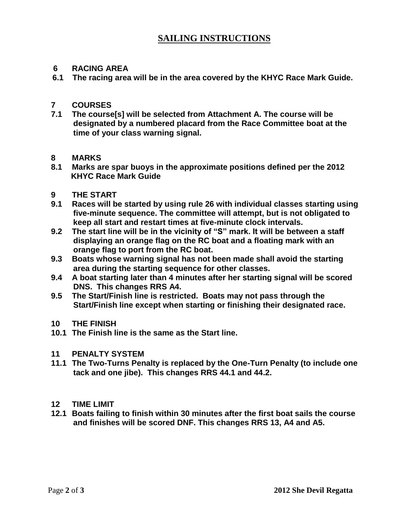## **SAILING INSTRUCTIONS**

### **6 RACING AREA**

 **6.1 The racing area will be in the area covered by the KHYC Race Mark Guide.**

### **7 COURSES**

**7.1 The course[s] will be selected from Attachment A. The course will be designated by a numbered placard from the Race Committee boat at the time of your class warning signal.**

### **8 MARKS**

**8.1 Marks are spar buoys in the approximate positions defined per the 2012 KHYC Race Mark Guide**

### **9 THE START**

- **9.1 Races will be started by using rule 26 with individual classes starting using five-minute sequence. The committee will attempt, but is not obligated to keep all start and restart times at five-minute clock intervals.**
- **9.2 The start line will be in the vicinity of "S" mark. It will be between a staff displaying an orange flag on the RC boat and a floating mark with an orange flag to port from the RC boat.**
- **9.3 Boats whose warning signal has not been made shall avoid the starting area during the starting sequence for other classes.**
- **9.4 A boat starting later than 4 minutes after her starting signal will be scored DNS. This changes RRS A4.**
- **9.5 The Start/Finish line is restricted. Boats may not pass through the Start/Finish line except when starting or finishing their designated race.**
- **10 THE FINISH**
- **10.1 The Finish line is the same as the Start line.**

### **11 PENALTY SYSTEM**

- **11.1 The Two-Turns Penalty is replaced by the One-Turn Penalty (to include one tack and one jibe). This changes RRS 44.1 and 44.2.**
- **12 TIME LIMIT**
- **12.1 Boats failing to finish within 30 minutes after the first boat sails the course and finishes will be scored DNF. This changes RRS 13, A4 and A5.**